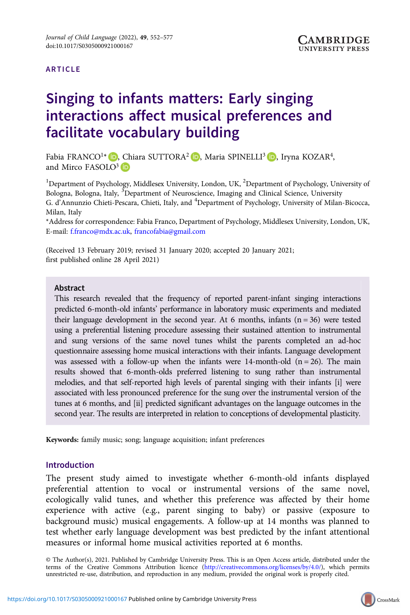#### ARTICLE

# Singing to infants matters: Early singing interactions affect musical preferences and facilitate vocabulary building

Fabia FRANCO<sup>1\*</sup> D[,](https://orcid.org/0000-0003-1327-1080) Chiara SUTTORA<sup>2</sup> D, Maria SPINELLI<sup>3</sup> D, Iryna KOZAR<sup>4</sup>, and Mirco FASOLO<sup>3</sup> ID

<sup>1</sup>Department of Psychology, Middlesex University, London, UK, <sup>2</sup>Department of Psychology, University of Bologna, Bologna, Italy, <sup>3</sup>Department of Neuroscience, Imaging and Clinical Science, University G. d'Annunzio Chieti-Pescara, Chieti, Italy, and <sup>4</sup>Department of Psychology, University of Milan-Bicocca, Milan, Italy

\*Address for correspondence: Fabia Franco, Department of Psychology, Middlesex University, London, UK, E-mail: [f.franco@mdx.ac.uk,](mailto:f.franco@mdx.ac.uk) [francofabia@gmail.com](mailto:francofabia@gmail.com)

(Received 13 February 2019; revised 31 January 2020; accepted 20 January 2021; first published online 28 April 2021)

#### Abstract

This research revealed that the frequency of reported parent-infant singing interactions predicted 6-month-old infants' performance in laboratory music experiments and mediated their language development in the second year. At 6 months, infants  $(n = 36)$  were tested using a preferential listening procedure assessing their sustained attention to instrumental and sung versions of the same novel tunes whilst the parents completed an ad-hoc questionnaire assessing home musical interactions with their infants. Language development was assessed with a follow-up when the infants were 14-month-old  $(n = 26)$ . The main results showed that 6-month-olds preferred listening to sung rather than instrumental melodies, and that self-reported high levels of parental singing with their infants [i] were associated with less pronounced preference for the sung over the instrumental version of the tunes at 6 months, and [ii] predicted significant advantages on the language outcomes in the second year. The results are interpreted in relation to conceptions of developmental plasticity.

Keywords: family music; song; language acquisition; infant preferences

# Introduction

The present study aimed to investigate whether 6-month-old infants displayed preferential attention to vocal or instrumental versions of the same novel, ecologically valid tunes, and whether this preference was affected by their home experience with active (e.g., parent singing to baby) or passive (exposure to background music) musical engagements. A follow-up at 14 months was planned to test whether early language development was best predicted by the infant attentional measures or informal home musical activities reported at 6 months.

© The Author(s), 2021. Published by Cambridge University Press. This is an Open Access article, distributed under the terms of the Creative Commons Attribution licence (<http://creativecommons.org/licenses/by/4.0/>), which permits unrestricted re-use, distribution, and reproduction in any medium, provided the original work is properly cited.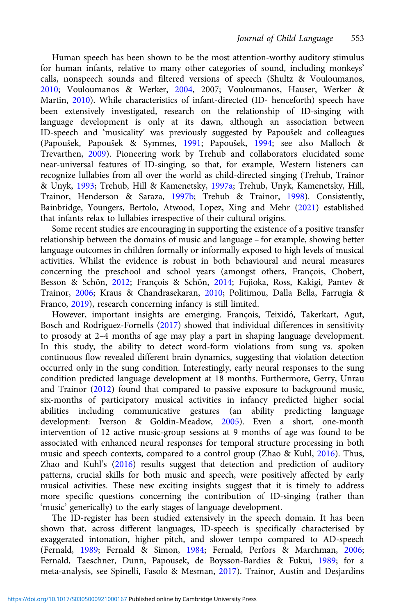Human speech has been shown to be the most attention-worthy auditory stimulus for human infants, relative to many other categories of sound, including monkeys' calls, nonspeech sounds and filtered versions of speech (Shultz & Vouloumanos, [2010](#page-24-0); Vouloumanos & Werker, [2004](#page-25-0), 2007; Vouloumanos, Hauser, Werker & Martin, [2010\)](#page-25-0). While characteristics of infant-directed (ID- henceforth) speech have been extensively investigated, research on the relationship of ID-singing with language development is only at its dawn, although an association between ID-speech and 'musicality' was previously suggested by Papoušek and colleagues (Papoušek, Papoušek & Symmes, [1991](#page-24-0); Papoušek, [1994;](#page-24-0) see also Malloch & Trevarthen, [2009\)](#page-23-0). Pioneering work by Trehub and collaborators elucidated some near-universal features of ID-singing, so that, for example, Western listeners can recognize lullabies from all over the world as child-directed singing (Trehub, Trainor & Unyk, [1993](#page-25-0); Trehub, Hill & Kamenetsky, [1997a;](#page-25-0) Trehub, Unyk, Kamenetsky, Hill, Trainor, Henderson & Saraza, [1997b;](#page-25-0) Trehub & Trainor, [1998](#page-25-0)). Consistently, Bainbridge, Youngers, Bertolo, Atwood, Lopez, Xing and Mehr [\(2021\)](#page-21-0) established that infants relax to lullabies irrespective of their cultural origins.

Some recent studies are encouraging in supporting the existence of a positive transfer relationship between the domains of music and language – for example, showing better language outcomes in children formally or informally exposed to high levels of musical activities. Whilst the evidence is robust in both behavioural and neural measures concerning the preschool and school years (amongst others, François, Chobert, Besson & Schön, [2012;](#page-22-0) François & Schön, [2014;](#page-22-0) Fujioka, Ross, Kakigi, Pantev & Trainor, [2006](#page-22-0); Kraus & Chandrasekaran, [2010;](#page-23-0) Politimou, Dalla Bella, Farrugia & Franco, [2019\)](#page-24-0), research concerning infancy is still limited.

However, important insights are emerging. François, Teixidó, Takerkart, Agut, Bosch and Rodriguez-Fornells [\(2017\)](#page-22-0) showed that individual differences in sensitivity to prosody at 2–4 months of age may play a part in shaping language development. In this study, the ability to detect word-form violations from sung vs. spoken continuous flow revealed different brain dynamics, suggesting that violation detection occurred only in the sung condition. Interestingly, early neural responses to the sung condition predicted language development at 18 months. Furthermore, Gerry, Unrau and Trainor [\(2012](#page-23-0)) found that compared to passive exposure to background music, six-months of participatory musical activities in infancy predicted higher social abilities including communicative gestures (an ability predicting language development: Iverson & Goldin-Meadow, [2005](#page-23-0)). Even a short, one-month intervention of 12 active music-group sessions at 9 months of age was found to be associated with enhanced neural responses for temporal structure processing in both music and speech contexts, compared to a control group (Zhao & Kuhl, [2016\)](#page-25-0). Thus, Zhao and Kuhl's ([2016\)](#page-25-0) results suggest that detection and prediction of auditory patterns, crucial skills for both music and speech, were positively affected by early musical activities. These new exciting insights suggest that it is timely to address more specific questions concerning the contribution of ID-singing (rather than 'music' generically) to the early stages of language development.

The ID-register has been studied extensively in the speech domain. It has been shown that, across different languages, ID-speech is specifically characterised by exaggerated intonation, higher pitch, and slower tempo compared to AD-speech (Fernald, [1989](#page-22-0); Fernald & Simon, [1984;](#page-22-0) Fernald, Perfors & Marchman, [2006;](#page-22-0) Fernald, Taeschner, Dunn, Papousek, de Boysson-Bardies & Fukui, [1989;](#page-22-0) for a meta-analysis, see Spinelli, Fasolo & Mesman, [2017\)](#page-24-0). Trainor, Austin and Desjardins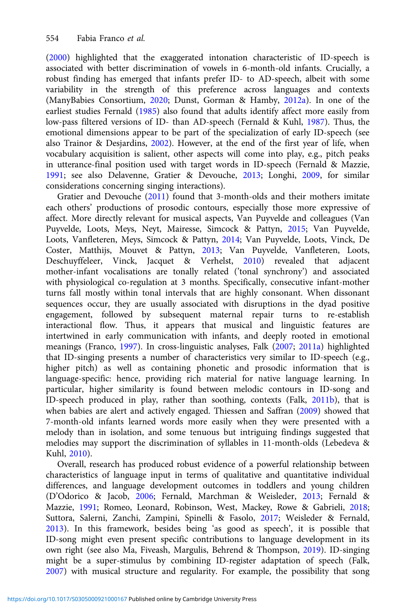([2000](#page-25-0)) highlighted that the exaggerated intonation characteristic of ID-speech is associated with better discrimination of vowels in 6-month-old infants. Crucially, a robust finding has emerged that infants prefer ID- to AD-speech, albeit with some variability in the strength of this preference across languages and contexts (ManyBabies Consortium, [2020](#page-23-0); Dunst, Gorman & Hamby, [2012a](#page-21-0)). In one of the earliest studies Fernald ([1985\)](#page-22-0) also found that adults identify affect more easily from low-pass filtered versions of ID- than AD-speech (Fernald & Kuhl, [1987](#page-22-0)). Thus, the emotional dimensions appear to be part of the specialization of early ID-speech (see also Trainor & Desjardins, [2002](#page-25-0)). However, at the end of the first year of life, when vocabulary acquisition is salient, other aspects will come into play, e.g., pitch peaks in utterance-final position used with target words in ID-speech (Fernald & Mazzie, [1991;](#page-22-0) see also Delavenne, Gratier & Devouche, [2013;](#page-21-0) Longhi, [2009](#page-23-0), for similar considerations concerning singing interactions).

Gratier and Devouche ([2011](#page-23-0)) found that 3-month-olds and their mothers imitate each others' productions of prosodic contours, especially those more expressive of affect. More directly relevant for musical aspects, Van Puyvelde and colleagues (Van Puyvelde, Loots, Meys, Neyt, Mairesse, Simcock & Pattyn, [2015](#page-25-0); Van Puyvelde, Loots, Vanfleteren, Meys, Simcock & Pattyn, [2014;](#page-25-0) Van Puyvelde, Loots, Vinck, De Coster, Matthijs, Mouvet & Pattyn, [2013](#page-25-0); Van Puyvelde, Vanfleteren, Loots, Deschuyffeleer, Vinck, Jacquet & Verhelst, [2010](#page-25-0)) revealed that adjacent mother-infant vocalisations are tonally related ('tonal synchrony') and associated with physiological co-regulation at 3 months. Specifically, consecutive infant-mother turns fall mostly within tonal intervals that are highly consonant. When dissonant sequences occur, they are usually associated with disruptions in the dyad positive engagement, followed by subsequent maternal repair turns to re-establish interactional flow. Thus, it appears that musical and linguistic features are intertwined in early communication with infants, and deeply rooted in emotional meanings (Franco, [1997](#page-22-0)). In cross-linguistic analyses, Falk [\(2007](#page-22-0); [2011a\)](#page-22-0) highlighted that ID-singing presents a number of characteristics very similar to ID-speech (e.g., higher pitch) as well as containing phonetic and prosodic information that is language-specific: hence, providing rich material for native language learning. In particular, higher similarity is found between melodic contours in ID-song and ID-speech produced in play, rather than soothing, contexts (Falk, [2011b](#page-22-0)), that is when babies are alert and actively engaged. Thiessen and Saffran ([2009\)](#page-24-0) showed that 7-month-old infants learned words more easily when they were presented with a melody than in isolation, and some tenuous but intriguing findings suggested that melodies may support the discrimination of syllables in 11-month-olds (Lebedeva & Kuhl, [2010\)](#page-23-0).

Overall, research has produced robust evidence of a powerful relationship between characteristics of language input in terms of qualitative and quantitative individual differences, and language development outcomes in toddlers and young children (D'Odorico & Jacob, [2006](#page-21-0); Fernald, Marchman & Weisleder, [2013;](#page-22-0) Fernald & Mazzie, [1991;](#page-22-0) Romeo, Leonard, Robinson, West, Mackey, Rowe & Gabrieli, [2018](#page-24-0); Suttora, Salerni, Zanchi, Zampini, Spinelli & Fasolo, [2017](#page-24-0); Weisleder & Fernald, [2013\)](#page-25-0). In this framework, besides being 'as good as speech', it is possible that ID-song might even present specific contributions to language development in its own right (see also Ma, Fiveash, Margulis, Behrend & Thompson, [2019](#page-23-0)). ID-singing might be a super-stimulus by combining ID-register adaptation of speech (Falk, [2007\)](#page-22-0) with musical structure and regularity. For example, the possibility that song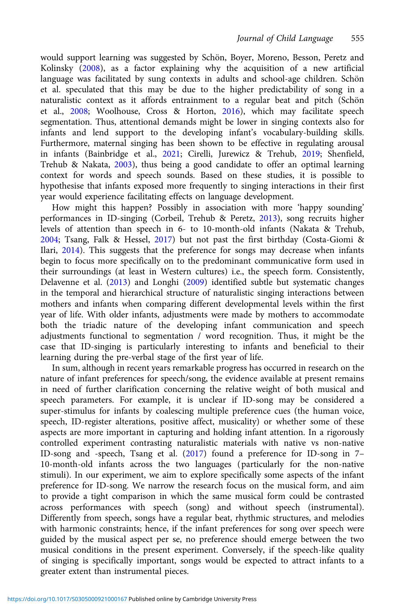would support learning was suggested by Schön, Boyer, Moreno, Besson, Peretz and Kolinsky [\(2008](#page-24-0)), as a factor explaining why the acquisition of a new artificial language was facilitated by sung contexts in adults and school-age children. Schön et al. speculated that this may be due to the higher predictability of song in a naturalistic context as it affords entrainment to a regular beat and pitch (Schön et al., [2008](#page-24-0); Woolhouse, Cross & Horton, [2016](#page-25-0)), which may facilitate speech segmentation. Thus, attentional demands might be lower in singing contexts also for infants and lend support to the developing infant's vocabulary-building skills. Furthermore, maternal singing has been shown to be effective in regulating arousal in infants (Bainbridge et al., [2021](#page-21-0); Cirelli, Jurewicz & Trehub, [2019](#page-21-0); Shenfield, Trehub & Nakata, [2003\)](#page-24-0), thus being a good candidate to offer an optimal learning context for words and speech sounds. Based on these studies, it is possible to hypothesise that infants exposed more frequently to singing interactions in their first year would experience facilitating effects on language development.

How might this happen? Possibly in association with more 'happy sounding' performances in ID-singing (Corbeil, Trehub & Peretz, [2013](#page-21-0)), song recruits higher levels of attention than speech in 6- to 10-month-old infants (Nakata & Trehub, [2004](#page-23-0); Tsang, Falk & Hessel, [2017\)](#page-25-0) but not past the first birthday (Costa-Giomi & Ilari, [2014\)](#page-21-0). This suggests that the preference for songs may decrease when infants begin to focus more specifically on to the predominant communicative form used in their surroundings (at least in Western cultures) i.e., the speech form. Consistently, Delavenne et al. [\(2013\)](#page-21-0) and Longhi ([2009\)](#page-23-0) identified subtle but systematic changes in the temporal and hierarchical structure of naturalistic singing interactions between mothers and infants when comparing different developmental levels within the first year of life. With older infants, adjustments were made by mothers to accommodate both the triadic nature of the developing infant communication and speech adjustments functional to segmentation / word recognition. Thus, it might be the case that ID-singing is particularly interesting to infants and beneficial to their learning during the pre-verbal stage of the first year of life.

In sum, although in recent years remarkable progress has occurred in research on the nature of infant preferences for speech/song, the evidence available at present remains in need of further clarification concerning the relative weight of both musical and speech parameters. For example, it is unclear if ID-song may be considered a super-stimulus for infants by coalescing multiple preference cues (the human voice, speech, ID-register alterations, positive affect, musicality) or whether some of these aspects are more important in capturing and holding infant attention. In a rigorously controlled experiment contrasting naturalistic materials with native vs non-native ID-song and -speech, Tsang et al. [\(2017\)](#page-25-0) found a preference for ID-song in 7– 10-month-old infants across the two languages (particularly for the non-native stimuli). In our experiment, we aim to explore specifically some aspects of the infant preference for ID-song. We narrow the research focus on the musical form, and aim to provide a tight comparison in which the same musical form could be contrasted across performances with speech (song) and without speech (instrumental). Differently from speech, songs have a regular beat, rhythmic structures, and melodies with harmonic constraints; hence, if the infant preferences for song over speech were guided by the musical aspect per se, no preference should emerge between the two musical conditions in the present experiment. Conversely, if the speech-like quality of singing is specifically important, songs would be expected to attract infants to a greater extent than instrumental pieces.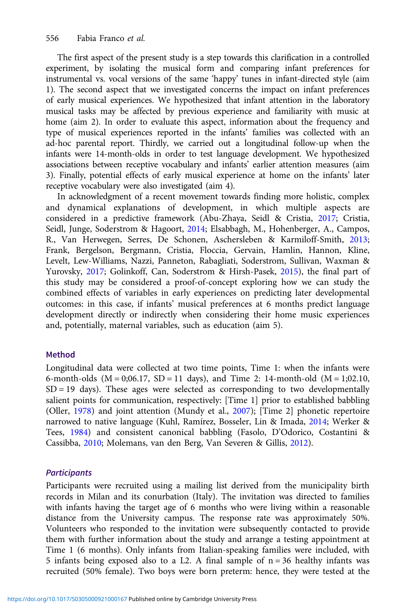The first aspect of the present study is a step towards this clarification in a controlled experiment, by isolating the musical form and comparing infant preferences for instrumental vs. vocal versions of the same 'happy' tunes in infant-directed style (aim 1). The second aspect that we investigated concerns the impact on infant preferences of early musical experiences. We hypothesized that infant attention in the laboratory musical tasks may be affected by previous experience and familiarity with music at home (aim 2). In order to evaluate this aspect, information about the frequency and type of musical experiences reported in the infants' families was collected with an ad-hoc parental report. Thirdly, we carried out a longitudinal follow-up when the infants were 14-month-olds in order to test language development. We hypothesized associations between receptive vocabulary and infants' earlier attention measures (aim 3). Finally, potential effects of early musical experience at home on the infants' later receptive vocabulary were also investigated (aim 4).

In acknowledgment of a recent movement towards finding more holistic, complex and dynamical explanations of development, in which multiple aspects are considered in a predictive framework (Abu-Zhaya, Seidl & Cristia, [2017;](#page-21-0) Cristia, Seidl, Junge, Soderstrom & Hagoort, [2014](#page-21-0); Elsabbagh, M., Hohenberger, A., Campos, R., Van Herwegen, Serres, De Schonen, Aschersleben & Karmiloff-Smith, [2013](#page-22-0); Frank, Bergelson, Bergmann, Cristia, Floccia, Gervain, Hamlin, Hannon, Kline, Levelt, Lew-Williams, Nazzi, Panneton, Rabagliati, Soderstrom, Sullivan, Waxman & Yurovsky, [2017](#page-22-0); Golinkoff, Can, Soderstrom & Hirsh-Pasek, [2015](#page-23-0)), the final part of this study may be considered a proof-of-concept exploring how we can study the combined effects of variables in early experiences on predicting later developmental outcomes: in this case, if infants' musical preferences at 6 months predict language development directly or indirectly when considering their home music experiences and, potentially, maternal variables, such as education (aim 5).

#### Method

Longitudinal data were collected at two time points, Time 1: when the infants were 6-month-olds  $(M = 0; 06.17, SD = 11$  days), and Time 2: 14-month-old  $(M = 1; 02.10,$ SD = 19 days). These ages were selected as corresponding to two developmentally salient points for communication, respectively: [Time 1] prior to established babbling (Oller, [1978](#page-24-0)) and joint attention (Mundy et al., [2007](#page-23-0)); [Time 2] phonetic repertoire narrowed to native language (Kuhl, Ramírez, Bosseler, Lin & Imada, [2014](#page-23-0); Werker & Tees, [1984](#page-25-0)) and consistent canonical babbling (Fasolo, D'Odorico, Costantini & Cassibba, [2010;](#page-22-0) Molemans, van den Berg, Van Severen & Gillis, [2012\)](#page-23-0).

## **Participants**

Participants were recruited using a mailing list derived from the municipality birth records in Milan and its conurbation (Italy). The invitation was directed to families with infants having the target age of 6 months who were living within a reasonable distance from the University campus. The response rate was approximately 50%. Volunteers who responded to the invitation were subsequently contacted to provide them with further information about the study and arrange a testing appointment at Time 1 (6 months). Only infants from Italian-speaking families were included, with 5 infants being exposed also to a L2. A final sample of  $n = 36$  healthy infants was recruited (50% female). Two boys were born preterm: hence, they were tested at the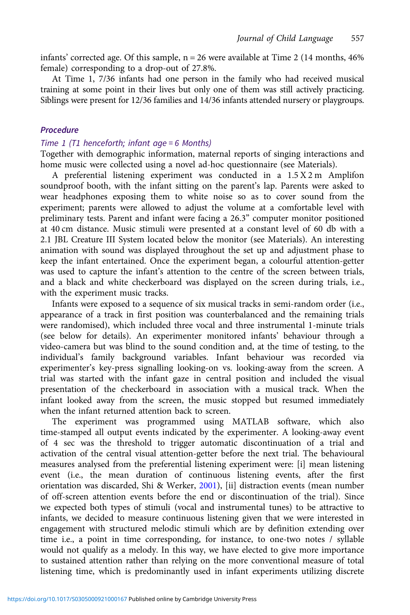infants' corrected age. Of this sample,  $n = 26$  were available at Time 2 (14 months, 46%) female) corresponding to a drop-out of 27.8%.

At Time 1, 7/36 infants had one person in the family who had received musical training at some point in their lives but only one of them was still actively practicing. Siblings were present for 12/36 families and 14/36 infants attended nursery or playgroups.

## Procedure

#### Time 1 (T1 henceforth; infant age = 6 Months)

Together with demographic information, maternal reports of singing interactions and home music were collected using a novel ad-hoc questionnaire (see Materials).

A preferential listening experiment was conducted in a 1.5 X 2 m Amplifon soundproof booth, with the infant sitting on the parent's lap. Parents were asked to wear headphones exposing them to white noise so as to cover sound from the experiment; parents were allowed to adjust the volume at a comfortable level with preliminary tests. Parent and infant were facing a 26.3" computer monitor positioned at 40 cm distance. Music stimuli were presented at a constant level of 60 db with a 2.1 JBL Creature III System located below the monitor (see Materials). An interesting animation with sound was displayed throughout the set up and adjustment phase to keep the infant entertained. Once the experiment began, a colourful attention-getter was used to capture the infant's attention to the centre of the screen between trials, and a black and white checkerboard was displayed on the screen during trials, i.e., with the experiment music tracks.

Infants were exposed to a sequence of six musical tracks in semi-random order (i.e., appearance of a track in first position was counterbalanced and the remaining trials were randomised), which included three vocal and three instrumental 1-minute trials (see below for details). An experimenter monitored infants' behaviour through a video-camera but was blind to the sound condition and, at the time of testing, to the individual's family background variables. Infant behaviour was recorded via experimenter's key-press signalling looking-on vs. looking-away from the screen. A trial was started with the infant gaze in central position and included the visual presentation of the checkerboard in association with a musical track. When the infant looked away from the screen, the music stopped but resumed immediately when the infant returned attention back to screen.

The experiment was programmed using MATLAB software, which also time-stamped all output events indicated by the experimenter. A looking-away event of 4 sec was the threshold to trigger automatic discontinuation of a trial and activation of the central visual attention-getter before the next trial. The behavioural measures analysed from the preferential listening experiment were: [i] mean listening event (i.e., the mean duration of continuous listening events, after the first orientation was discarded, Shi & Werker, [2001\)](#page-24-0), [ii] distraction events (mean number of off-screen attention events before the end or discontinuation of the trial). Since we expected both types of stimuli (vocal and instrumental tunes) to be attractive to infants, we decided to measure continuous listening given that we were interested in engagement with structured melodic stimuli which are by definition extending over time i.e., a point in time corresponding, for instance, to one-two notes / syllable would not qualify as a melody. In this way, we have elected to give more importance to sustained attention rather than relying on the more conventional measure of total listening time, which is predominantly used in infant experiments utilizing discrete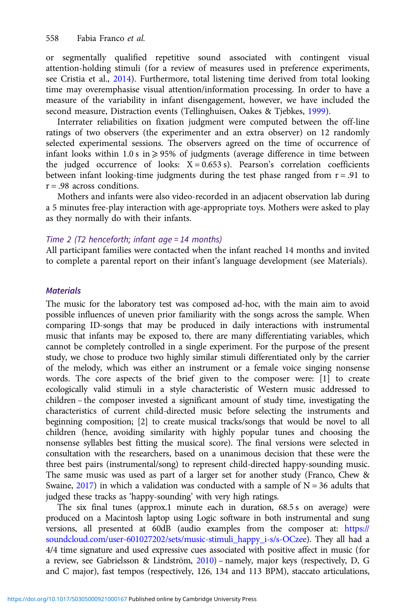or segmentally qualified repetitive sound associated with contingent visual attention-holding stimuli (for a review of measures used in preference experiments, see Cristia et al., [2014\)](#page-21-0). Furthermore, total listening time derived from total looking time may overemphasise visual attention/information processing. In order to have a measure of the variability in infant disengagement, however, we have included the second measure, Distraction events (Tellinghuisen, Oakes & Tjebkes, [1999](#page-24-0)).

Interrater reliabilities on fixation judgment were computed between the off-line ratings of two observers (the experimenter and an extra observer) on 12 randomly selected experimental sessions. The observers agreed on the time of occurrence of infant looks within 1.0 s in  $\geq$  95% of judgments (average difference in time between the judged occurrence of looks:  $X = 0.653$  s). Pearson's correlation coefficients between infant looking-time judgments during the test phase ranged from  $r = .91$  to  $r = .98$  across conditions.

Mothers and infants were also video-recorded in an adjacent observation lab during a 5 minutes free-play interaction with age-appropriate toys. Mothers were asked to play as they normally do with their infants.

#### Time 2 (T2 henceforth; infant age = 14 months)

All participant families were contacted when the infant reached 14 months and invited to complete a parental report on their infant's language development (see Materials).

## **Materials**

The music for the laboratory test was composed ad-hoc, with the main aim to avoid possible influences of uneven prior familiarity with the songs across the sample. When comparing ID-songs that may be produced in daily interactions with instrumental music that infants may be exposed to, there are many differentiating variables, which cannot be completely controlled in a single experiment. For the purpose of the present study, we chose to produce two highly similar stimuli differentiated only by the carrier of the melody, which was either an instrument or a female voice singing nonsense words. The core aspects of the brief given to the composer were: [1] to create ecologically valid stimuli in a style characteristic of Western music addressed to children – the composer invested a significant amount of study time, investigating the characteristics of current child-directed music before selecting the instruments and beginning composition; [2] to create musical tracks/songs that would be novel to all children (hence, avoiding similarity with highly popular tunes and choosing the nonsense syllables best fitting the musical score). The final versions were selected in consultation with the researchers, based on a unanimous decision that these were the three best pairs (instrumental/song) to represent child-directed happy-sounding music. The same music was used as part of a larger set for another study (Franco, Chew & Swaine, [2017](#page-22-0)) in which a validation was conducted with a sample of  $N = 36$  adults that judged these tracks as 'happy-sounding' with very high ratings.

The six final tunes (approx.1 minute each in duration, 68.5 s on average) were produced on a Macintosh laptop using Logic software in both instrumental and sung versions, all presented at 60dB (audio examples from the composer at: [https://](https://soundcloud.com/user-601027202/sets/music-stimuli_happy_i-s/s-OCzee) [soundcloud.com/user-601027202/sets/music-stimuli\\_happy\\_i-s/s-OCzee\)](https://soundcloud.com/user-601027202/sets/music-stimuli_happy_i-s/s-OCzee). They all had a 4/4 time signature and used expressive cues associated with positive affect in music (for a review, see Gabrielsson & Lindström, [2010\)](#page-23-0) – namely, major keys (respectively, D, G and C major), fast tempos (respectively, 126, 134 and 113 BPM), staccato articulations,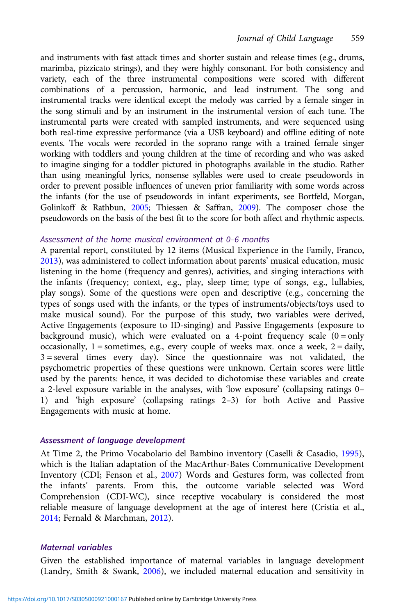and instruments with fast attack times and shorter sustain and release times (e.g., drums, marimba, pizzicato strings), and they were highly consonant. For both consistency and variety, each of the three instrumental compositions were scored with different combinations of a percussion, harmonic, and lead instrument. The song and instrumental tracks were identical except the melody was carried by a female singer in the song stimuli and by an instrument in the instrumental version of each tune. The instrumental parts were created with sampled instruments, and were sequenced using both real-time expressive performance (via a USB keyboard) and offline editing of note events. The vocals were recorded in the soprano range with a trained female singer working with toddlers and young children at the time of recording and who was asked to imagine singing for a toddler pictured in photographs available in the studio. Rather than using meaningful lyrics, nonsense syllables were used to create pseudowords in order to prevent possible influences of uneven prior familiarity with some words across the infants (for the use of pseudowords in infant experiments, see Bortfeld, Morgan, Golinkoff & Rathbun, [2005](#page-21-0); Thiessen & Saffran, [2009\)](#page-24-0). The composer chose the pseudowords on the basis of the best fit to the score for both affect and rhythmic aspects.

#### Assessment of the home musical environment at 0–6 months

A parental report, constituted by 12 items (Musical Experience in the Family, Franco, [2013](#page-22-0)), was administered to collect information about parents' musical education, music listening in the home (frequency and genres), activities, and singing interactions with the infants (frequency; context, e.g., play, sleep time; type of songs, e.g., lullabies, play songs). Some of the questions were open and descriptive (e.g., concerning the types of songs used with the infants, or the types of instruments/objects/toys used to make musical sound). For the purpose of this study, two variables were derived, Active Engagements (exposure to ID-singing) and Passive Engagements (exposure to background music), which were evaluated on a 4-point frequency scale  $(0 = only$ occasionally,  $1 =$  sometimes, e.g., every couple of weeks max. once a week,  $2 =$  daily,  $3 =$  several times every day). Since the questionnaire was not validated, the psychometric properties of these questions were unknown. Certain scores were little used by the parents: hence, it was decided to dichotomise these variables and create a 2-level exposure variable in the analyses, with 'low exposure' (collapsing ratings 0– 1) and 'high exposure' (collapsing ratings 2–3) for both Active and Passive Engagements with music at home.

#### Assessment of language development

At Time 2, the Primo Vocabolario del Bambino inventory (Caselli & Casadio, [1995](#page-21-0)), which is the Italian adaptation of the MacArthur-Bates Communicative Development Inventory (CDI; Fenson et al., [2007\)](#page-22-0) Words and Gestures form, was collected from the infants' parents. From this, the outcome variable selected was Word Comprehension (CDI-WC), since receptive vocabulary is considered the most reliable measure of language development at the age of interest here (Cristia et al., [2014](#page-21-0); Fernald & Marchman, [2012\)](#page-22-0).

## Maternal variables

Given the established importance of maternal variables in language development (Landry, Smith & Swank, [2006](#page-23-0)), we included maternal education and sensitivity in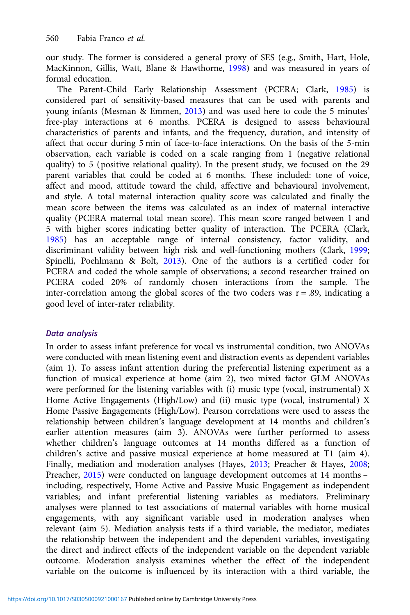our study. The former is considered a general proxy of SES (e.g., Smith, Hart, Hole, MacKinnon, Gillis, Watt, Blane & Hawthorne, [1998\)](#page-24-0) and was measured in years of formal education.

The Parent-Child Early Relationship Assessment (PCERA; Clark, [1985](#page-21-0)) is considered part of sensitivity-based measures that can be used with parents and young infants (Mesman & Emmen, [2013\)](#page-23-0) and was used here to code the 5 minutes' free-play interactions at 6 months. PCERA is designed to assess behavioural characteristics of parents and infants, and the frequency, duration, and intensity of affect that occur during 5 min of face-to-face interactions. On the basis of the 5-min observation, each variable is coded on a scale ranging from 1 (negative relational quality) to 5 (positive relational quality). In the present study, we focused on the 29 parent variables that could be coded at 6 months. These included: tone of voice, affect and mood, attitude toward the child, affective and behavioural involvement, and style. A total maternal interaction quality score was calculated and finally the mean score between the items was calculated as an index of maternal interactive quality (PCERA maternal total mean score). This mean score ranged between 1 and 5 with higher scores indicating better quality of interaction. The PCERA (Clark, [1985\)](#page-21-0) has an acceptable range of internal consistency, factor validity, and discriminant validity between high risk and well-functioning mothers (Clark, [1999](#page-21-0); Spinelli, Poehlmann & Bolt, [2013\)](#page-24-0). One of the authors is a certified coder for PCERA and coded the whole sample of observations; a second researcher trained on PCERA coded 20% of randomly chosen interactions from the sample. The inter-correlation among the global scores of the two coders was  $r = .89$ , indicating a good level of inter-rater reliability.

# Data analysis

In order to assess infant preference for vocal vs instrumental condition, two ANOVAs were conducted with mean listening event and distraction events as dependent variables (aim 1). To assess infant attention during the preferential listening experiment as a function of musical experience at home (aim 2), two mixed factor GLM ANOVAs were performed for the listening variables with (i) music type (vocal, instrumental) X Home Active Engagements (High/Low) and (ii) music type (vocal, instrumental) X Home Passive Engagements (High/Low). Pearson correlations were used to assess the relationship between children's language development at 14 months and children's earlier attention measures (aim 3). ANOVAs were further performed to assess whether children's language outcomes at 14 months differed as a function of children's active and passive musical experience at home measured at T1 (aim 4). Finally, mediation and moderation analyses (Hayes, [2013](#page-23-0); Preacher & Hayes, [2008](#page-24-0); Preacher, [2015\)](#page-24-0) were conducted on language development outcomes at 14 months – including, respectively, Home Active and Passive Music Engagement as independent variables; and infant preferential listening variables as mediators. Preliminary analyses were planned to test associations of maternal variables with home musical engagements, with any significant variable used in moderation analyses when relevant (aim 5). Mediation analysis tests if a third variable, the mediator, mediates the relationship between the independent and the dependent variables, investigating the direct and indirect effects of the independent variable on the dependent variable outcome. Moderation analysis examines whether the effect of the independent variable on the outcome is influenced by its interaction with a third variable, the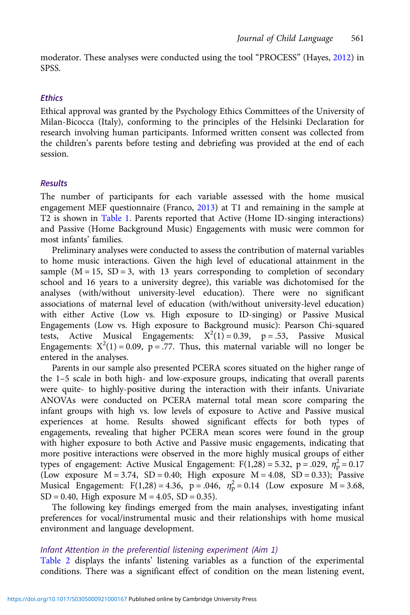moderator. These analyses were conducted using the tool "PROCESS" (Hayes, [2012\)](#page-23-0) in SPSS.

#### **Ethics**

Ethical approval was granted by the Psychology Ethics Committees of the University of Milan-Bicocca (Italy), conforming to the principles of the Helsinki Declaration for research involving human participants. Informed written consent was collected from the children's parents before testing and debriefing was provided at the end of each session.

## Results

The number of participants for each variable assessed with the home musical engagement MEF questionnaire (Franco, [2013\)](#page-22-0) at T1 and remaining in the sample at T2 is shown in [Table 1](#page-10-0). Parents reported that Active (Home ID-singing interactions) and Passive (Home Background Music) Engagements with music were common for most infants' families.

Preliminary analyses were conducted to assess the contribution of maternal variables to home music interactions. Given the high level of educational attainment in the sample  $(M = 15, SD = 3$ , with 13 years corresponding to completion of secondary school and 16 years to a university degree), this variable was dichotomised for the analyses (with/without university-level education). There were no significant associations of maternal level of education (with/without university-level education) with either Active (Low vs. High exposure to ID-singing) or Passive Musical Engagements (Low vs. High exposure to Background music): Pearson Chi-squared tests, Active Musical Engagements:  $X^2(1) = 0.39$ ,  $p = .53$ , Passive Musical Engagements:  $X^2(1) = 0.09$ ,  $p = .77$ . Thus, this maternal variable will no longer be entered in the analyses.

Parents in our sample also presented PCERA scores situated on the higher range of the 1–5 scale in both high- and low-exposure groups, indicating that overall parents were quite- to highly-positive during the interaction with their infants. Univariate ANOVAs were conducted on PCERA maternal total mean score comparing the infant groups with high vs. low levels of exposure to Active and Passive musical experiences at home. Results showed significant effects for both types of engagements, revealing that higher PCERA mean scores were found in the group with higher exposure to both Active and Passive music engagements, indicating that more positive interactions were observed in the more highly musical groups of either types of engagement: Active Musical Engagement: F(1,28) = 5.32, p = .029,  $\eta_p^2$  = 0.17 (Low exposure  $M = 3.74$ , SD = 0.40; High exposure  $M = 4.08$ , SD = 0.33); Passive Musical Engagement: F(1,28) = 4.36,  $p = .046$ ,  $n_p^2 = 0.14$  (Low exposure M = 3.68,  $SD = 0.40$ , High exposure  $M = 4.05$ ,  $SD = 0.35$ ).

The following key findings emerged from the main analyses, investigating infant preferences for vocal/instrumental music and their relationships with home musical environment and language development.

#### Infant Attention in the preferential listening experiment (Aim 1)

[Table 2](#page-10-0) displays the infants' listening variables as a function of the experimental conditions. There was a significant effect of condition on the mean listening event,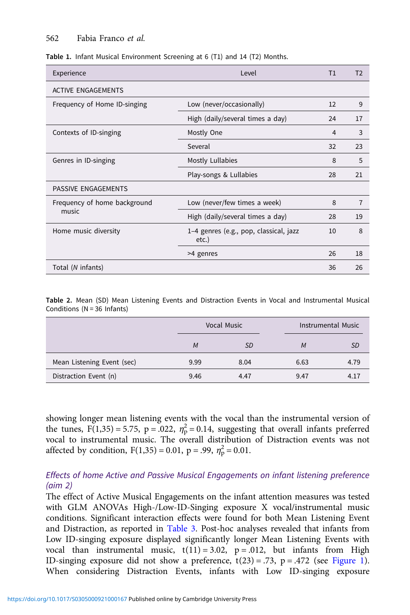#### <span id="page-10-0"></span>562 Fabia Franco et al.

Table 1. Infant Musical Environment Screening at 6 (T1) and 14 (T2) Months.

| Experience                   | Level                                              | T1 | T <sub>2</sub> |
|------------------------------|----------------------------------------------------|----|----------------|
| <b>ACTIVE ENGAGEMENTS</b>    |                                                    |    |                |
| Frequency of Home ID-singing | Low (never/occasionally)                           | 12 | 9              |
|                              | High (daily/several times a day)                   | 24 | 17             |
| Contexts of ID-singing       | Mostly One                                         | 4  | 3              |
|                              | Several                                            | 32 | 23             |
| Genres in ID-singing         | Mostly Lullabies                                   | 8  | 5              |
|                              | Play-songs & Lullabies                             | 28 | 21             |
| PASSIVE ENGAGEMENTS          |                                                    |    |                |
| Frequency of home background | Low (never/few times a week)                       | 8  | $\overline{7}$ |
| music                        | High (daily/several times a day)                   | 28 | 19             |
| Home music diversity         | 1-4 genres (e.g., pop, classical, jazz<br>$etc.$ ) | 10 | 8              |
|                              | >4 genres                                          | 26 | 18             |
| Total (N infants)            |                                                    | 36 | 26             |

Table 2. Mean (SD) Mean Listening Events and Distraction Events in Vocal and Instrumental Musical Conditions (N = 36 Infants)

|                            |      | Vocal Music |      | Instrumental Music |  |  |
|----------------------------|------|-------------|------|--------------------|--|--|
|                            | M    | SD          | M    | SD                 |  |  |
| Mean Listening Event (sec) | 9.99 | 8.04        | 6.63 | 4.79               |  |  |
| Distraction Event (n)      | 9.46 | 4.47        | 9.47 | 4.17               |  |  |

showing longer mean listening events with the vocal than the instrumental version of the tunes,  $F(1,35) = 5.75$ ,  $p = .022$ ,  $\eta_p^2 = 0.14$ , suggesting that overall infants preferred vocal to instrumental music. The overall distribution of Distraction events was not affected by condition,  $F(1,35) = 0.01$ ,  $p = .99$ ,  $\eta_p^2 = 0.01$ .

# Effects of home Active and Passive Musical Engagements on infant listening preference (aim 2)

The effect of Active Musical Engagements on the infant attention measures was tested with GLM ANOVAs High-/Low-ID-Singing exposure X vocal/instrumental music conditions. Significant interaction effects were found for both Mean Listening Event and Distraction, as reported in [Table 3](#page-11-0). Post-hoc analyses revealed that infants from Low ID-singing exposure displayed significantly longer Mean Listening Events with vocal than instrumental music,  $t(11) = 3.02$ ,  $p = .012$ , but infants from High ID-singing exposure did not show a preference,  $t(23) = .73$ ,  $p = .472$  (see [Figure 1\)](#page-12-0). When considering Distraction Events, infants with Low ID-singing exposure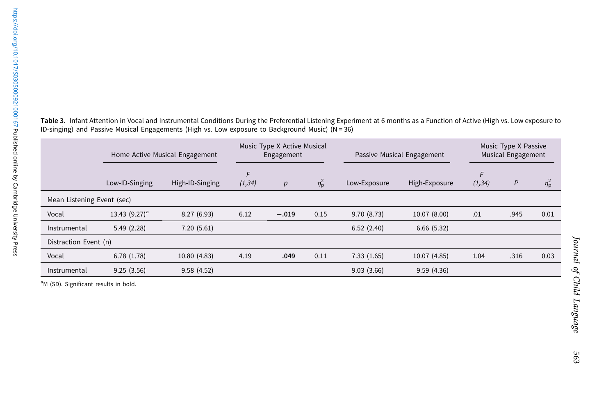|                            | Home Active Musical Engagement |                 |              | Music Type X Active Musical<br>Engagement |                  | Passive Musical Engagement |               | Music Type X Passive<br>Musical Engagement |      |                  |
|----------------------------|--------------------------------|-----------------|--------------|-------------------------------------------|------------------|----------------------------|---------------|--------------------------------------------|------|------------------|
|                            | Low-ID-Singing                 | High-ID-Singing | F<br>(1, 34) | p                                         | $\eta_{\rm p}^2$ | Low-Exposure               | High-Exposure | F<br>(1, 34)                               | P    | $\eta_{\rm p}^2$ |
| Mean Listening Event (sec) |                                |                 |              |                                           |                  |                            |               |                                            |      |                  |
| Vocal                      | 13.43 $(9.27)^a$               | 8.27(6.93)      | 6.12         | $-.019$                                   | 0.15             | 9.70(8.73)                 | 10.07 (8.00)  | .01                                        | .945 | 0.01             |
| Instrumental               | 5.49(2.28)                     | 7.20(5.61)      |              |                                           |                  | 6.52(2.40)                 | 6.66(5.32)    |                                            |      |                  |
| Distraction Event (n)      |                                |                 |              |                                           |                  |                            |               |                                            |      |                  |
| Vocal                      | 6.78(1.78)                     | 10.80 (4.83)    | 4.19         | .049                                      | 0.11             | 7.33(1.65)                 | 10.07 (4.85)  | 1.04                                       | .316 | 0.03             |
| Instrumental               | 9.25(3.56)                     | 9.58(4.52)      |              |                                           |                  | 9.03(3.66)                 | 9.59(4.36)    |                                            |      |                  |

<span id="page-11-0"></span>Table 3. Infant Attention in Vocal and Instrumental Conditions During the Preferential Listening Experiment at <sup>6</sup> months as <sup>a</sup> Function of Active (High vs. Low exposure to ID-singing) and Passive Musical Engagements (High vs. Low exposure to Background Music) (N <sup>=</sup> 36)

<sup>a</sup>M (SD). Significant results in bold.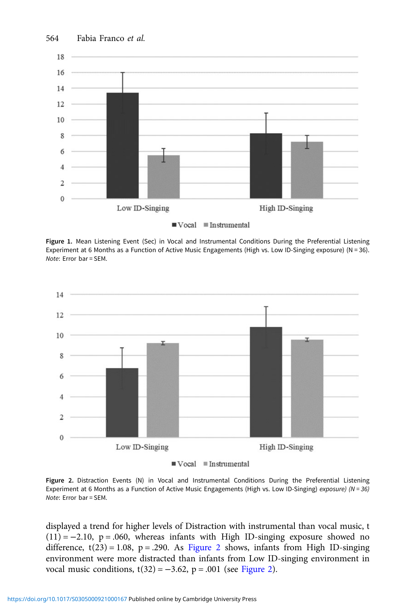<span id="page-12-0"></span>

Figure 1. Mean Listening Event (Sec) in Vocal and Instrumental Conditions During the Preferential Listening Experiment at 6 Months as a Function of Active Music Engagements (High vs. Low ID-Singing exposure) (N = 36). Note: Error bar = SEM.



Figure 2. Distraction Events (N) in Vocal and Instrumental Conditions During the Preferential Listening Experiment at 6 Months as a Function of Active Music Engagements (High vs. Low ID-Singing) exposure) (N = 36) Note: Error bar = SEM.

displayed a trend for higher levels of Distraction with instrumental than vocal music, t  $(11) = -2.10$ , p = .060, whereas infants with High ID-singing exposure showed no difference,  $t(23) = 1.08$ ,  $p = .290$ . As Figure 2 shows, infants from High ID-singing environment were more distracted than infants from Low ID-singing environment in vocal music conditions,  $t(32) = -3.62$ , p = .001 (see Figure 2).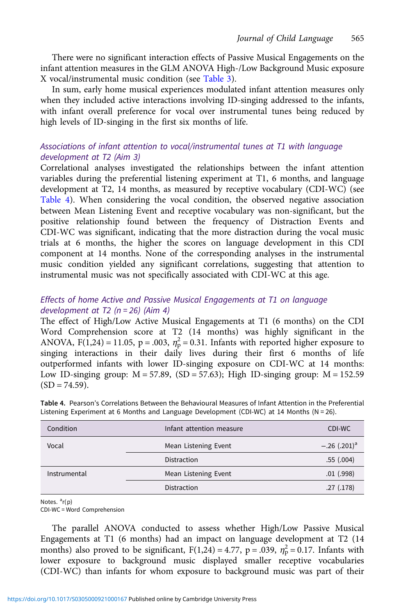There were no significant interaction effects of Passive Musical Engagements on the infant attention measures in the GLM ANOVA High-/Low Background Music exposure X vocal/instrumental music condition (see [Table 3](#page-11-0)).

In sum, early home musical experiences modulated infant attention measures only when they included active interactions involving ID-singing addressed to the infants, with infant overall preference for vocal over instrumental tunes being reduced by high levels of ID-singing in the first six months of life.

# Associations of infant attention to vocal/instrumental tunes at T1 with language development at T2 (Aim 3)

Correlational analyses investigated the relationships between the infant attention variables during the preferential listening experiment at T1, 6 months, and language development at T2, 14 months, as measured by receptive vocabulary (CDI-WC) (see Table 4). When considering the vocal condition, the observed negative association between Mean Listening Event and receptive vocabulary was non-significant, but the positive relationship found between the frequency of Distraction Events and CDI-WC was significant, indicating that the more distraction during the vocal music trials at 6 months, the higher the scores on language development in this CDI component at 14 months. None of the corresponding analyses in the instrumental music condition yielded any significant correlations, suggesting that attention to instrumental music was not specifically associated with CDI-WC at this age.

# Effects of home Active and Passive Musical Engagements at T1 on language development at T2 ( $n = 26$ ) (Aim 4)

The effect of High/Low Active Musical Engagements at T1 (6 months) on the CDI Word Comprehension score at T2 (14 months) was highly significant in the ANOVA, F(1,24) = 11.05, p = .003,  $\eta_p^2$  = 0.31. Infants with reported higher exposure to singing interactions in their daily lives during their first 6 months of life outperformed infants with lower ID-singing exposure on CDI-WC at 14 months: Low ID-singing group:  $M = 57.89$ , (SD = 57.63); High ID-singing group:  $M = 152.59$  $(SD = 74.59)$ .

| Condition    | Infant attention measure | CDI-WC          |
|--------------|--------------------------|-----------------|
| Vocal        | Mean Listening Event     | $-.26 (.201)^a$ |
|              | Distraction              | .55(.004)       |
| Instrumental | Mean Listening Event     | $.01$ $(.998)$  |
|              | Distraction              | .27(.178)       |

Table 4. Pearson's Correlations Between the Behavioural Measures of Infant Attention in the Preferential Listening Experiment at 6 Months and Language Development (CDI-WC) at 14 Months ( $N = 26$ ).

Notes. <sup>a</sup>r(p)

CDI-WC = Word Comprehension

The parallel ANOVA conducted to assess whether High/Low Passive Musical Engagements at T1 (6 months) had an impact on language development at T2 (14 months) also proved to be significant,  $F(1,24) = 4.77$ ,  $p = .039$ ,  $\eta_p^2 = 0.17$ . Infants with lower exposure to background music displayed smaller receptive vocabularies (CDI-WC) than infants for whom exposure to background music was part of their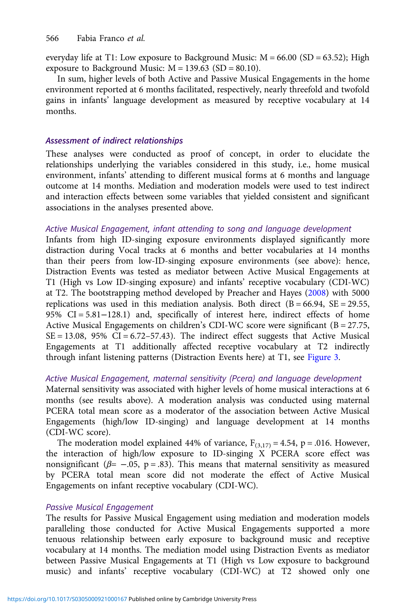everyday life at T1: Low exposure to Background Music:  $M = 66.00$  (SD = 63.52); High exposure to Background Music:  $M = 139.63$  (SD = 80.10).

In sum, higher levels of both Active and Passive Musical Engagements in the home environment reported at 6 months facilitated, respectively, nearly threefold and twofold gains in infants' language development as measured by receptive vocabulary at 14 months.

## Assessment of indirect relationships

These analyses were conducted as proof of concept, in order to elucidate the relationships underlying the variables considered in this study, i.e., home musical environment, infants' attending to different musical forms at 6 months and language outcome at 14 months. Mediation and moderation models were used to test indirect and interaction effects between some variables that yielded consistent and significant associations in the analyses presented above.

## Active Musical Engagement, infant attending to song and language development

Infants from high ID-singing exposure environments displayed significantly more distraction during Vocal tracks at 6 months and better vocabularies at 14 months than their peers from low-ID-singing exposure environments (see above): hence, Distraction Events was tested as mediator between Active Musical Engagements at T1 (High vs Low ID-singing exposure) and infants' receptive vocabulary (CDI-WC) at T2. The bootstrapping method developed by Preacher and Hayes ([2008](#page-24-0)) with 5000 replications was used in this mediation analysis. Both direct  $(B = 66.94, SE = 29.55,$ 95% CI = 5.81−128.1) and, specifically of interest here, indirect effects of home Active Musical Engagements on children's CDI-WC score were significant  $(B = 27.75,$  $SE = 13.08$ , 95%  $CI = 6.72 - 57.43$ ). The indirect effect suggests that Active Musical Engagements at T1 additionally affected receptive vocabulary at T2 indirectly through infant listening patterns (Distraction Events here) at T1, see [Figure 3.](#page-15-0)

# Active Musical Engagement, maternal sensitivity (Pcera) and language development

Maternal sensitivity was associated with higher levels of home musical interactions at 6 months (see results above). A moderation analysis was conducted using maternal PCERA total mean score as a moderator of the association between Active Musical Engagements (high/low ID-singing) and language development at 14 months (CDI-WC score).

The moderation model explained 44% of variance,  $F_{(3,17)} = 4.54$ , p = .016. However, the interaction of high/low exposure to ID-singing X PCERA score effect was nonsignificant ( $\beta$ = -.05, p = .83). This means that maternal sensitivity as measured by PCERA total mean score did not moderate the effect of Active Musical Engagements on infant receptive vocabulary (CDI-WC).

#### Passive Musical Engagement

The results for Passive Musical Engagement using mediation and moderation models paralleling those conducted for Active Musical Engagements supported a more tenuous relationship between early exposure to background music and receptive vocabulary at 14 months. The mediation model using Distraction Events as mediator between Passive Musical Engagements at T1 (High vs Low exposure to background music) and infants' receptive vocabulary (CDI-WC) at T2 showed only one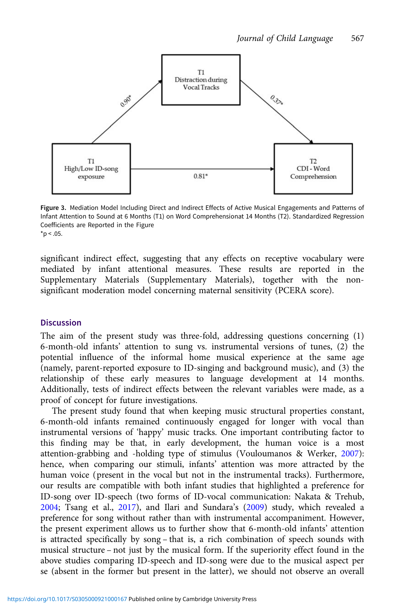<span id="page-15-0"></span>

Figure 3. Mediation Model Including Direct and Indirect Effects of Active Musical Engagements and Patterns of Infant Attention to Sound at 6 Months (T1) on Word Comprehensionat 14 Months (T2). Standardized Regression Coefficients are Reported in the Figure  $*_{p}$  < .05.

significant indirect effect, suggesting that any effects on receptive vocabulary were mediated by infant attentional measures. These results are reported in the Supplementary Materials (Supplementary Materials), together with the nonsignificant moderation model concerning maternal sensitivity (PCERA score).

## Discussion

The aim of the present study was three-fold, addressing questions concerning (1) 6-month-old infants' attention to sung vs. instrumental versions of tunes, (2) the potential influence of the informal home musical experience at the same age (namely, parent-reported exposure to ID-singing and background music), and (3) the relationship of these early measures to language development at 14 months. Additionally, tests of indirect effects between the relevant variables were made, as a proof of concept for future investigations.

The present study found that when keeping music structural properties constant, 6-month-old infants remained continuously engaged for longer with vocal than instrumental versions of 'happy' music tracks. One important contributing factor to this finding may be that, in early development, the human voice is a most attention-grabbing and -holding type of stimulus (Vouloumanos & Werker, [2007](#page-25-0)): hence, when comparing our stimuli, infants' attention was more attracted by the human voice (present in the vocal but not in the instrumental tracks). Furthermore, our results are compatible with both infant studies that highlighted a preference for ID-song over ID-speech (two forms of ID-vocal communication: Nakata & Trehub, [2004](#page-23-0); Tsang et al., [2017\)](#page-25-0), and Ilari and Sundara's ([2009\)](#page-23-0) study, which revealed a preference for song without rather than with instrumental accompaniment. However, the present experiment allows us to further show that 6-month-old infants' attention is attracted specifically by song – that is, a rich combination of speech sounds with musical structure – not just by the musical form. If the superiority effect found in the above studies comparing ID-speech and ID-song were due to the musical aspect per se (absent in the former but present in the latter), we should not observe an overall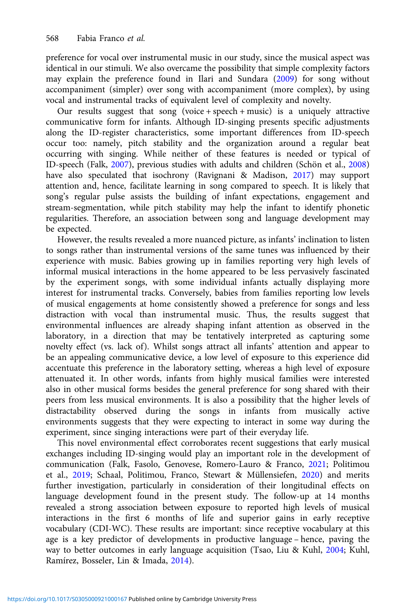preference for vocal over instrumental music in our study, since the musical aspect was identical in our stimuli. We also overcame the possibility that simple complexity factors may explain the preference found in Ilari and Sundara [\(2009](#page-23-0)) for song without accompaniment (simpler) over song with accompaniment (more complex), by using vocal and instrumental tracks of equivalent level of complexity and novelty.

Our results suggest that song (voice + speech + music) is a uniquely attractive communicative form for infants. Although ID-singing presents specific adjustments along the ID-register characteristics, some important differences from ID-speech occur too: namely, pitch stability and the organization around a regular beat occurring with singing. While neither of these features is needed or typical of ID-speech (Falk, [2007](#page-22-0)), previous studies with adults and children (Schön et al., [2008\)](#page-24-0) have also speculated that isochrony (Ravignani & Madison, [2017\)](#page-24-0) may support attention and, hence, facilitate learning in song compared to speech. It is likely that song's regular pulse assists the building of infant expectations, engagement and stream-segmentation, while pitch stability may help the infant to identify phonetic regularities. Therefore, an association between song and language development may be expected.

However, the results revealed a more nuanced picture, as infants' inclination to listen to songs rather than instrumental versions of the same tunes was influenced by their experience with music. Babies growing up in families reporting very high levels of informal musical interactions in the home appeared to be less pervasively fascinated by the experiment songs, with some individual infants actually displaying more interest for instrumental tracks. Conversely, babies from families reporting low levels of musical engagements at home consistently showed a preference for songs and less distraction with vocal than instrumental music. Thus, the results suggest that environmental influences are already shaping infant attention as observed in the laboratory, in a direction that may be tentatively interpreted as capturing some novelty effect (vs. lack of). Whilst songs attract all infants' attention and appear to be an appealing communicative device, a low level of exposure to this experience did accentuate this preference in the laboratory setting, whereas a high level of exposure attenuated it. In other words, infants from highly musical families were interested also in other musical forms besides the general preference for song shared with their peers from less musical environments. It is also a possibility that the higher levels of distractability observed during the songs in infants from musically active environments suggests that they were expecting to interact in some way during the experiment, since singing interactions were part of their everyday life.

This novel environmental effect corroborates recent suggestions that early musical exchanges including ID-singing would play an important role in the development of communication (Falk, Fasolo, Genovese, Romero-Lauro & Franco, [2021;](#page-22-0) Politimou et al., [2019;](#page-24-0) Schaal, Politimou, Franco, Stewart & Müllensiefen, [2020\)](#page-24-0) and merits further investigation, particularly in consideration of their longitudinal effects on language development found in the present study. The follow-up at 14 months revealed a strong association between exposure to reported high levels of musical interactions in the first 6 months of life and superior gains in early receptive vocabulary (CDI-WC). These results are important: since receptive vocabulary at this age is a key predictor of developments in productive language – hence, paving the way to better outcomes in early language acquisition (Tsao, Liu & Kuhl, [2004](#page-25-0); Kuhl, Ramírez, Bosseler, Lin & Imada, [2014](#page-23-0)).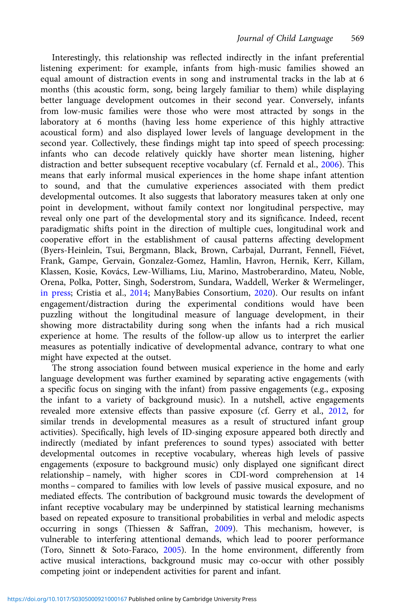Interestingly, this relationship was reflected indirectly in the infant preferential listening experiment: for example, infants from high-music families showed an equal amount of distraction events in song and instrumental tracks in the lab at 6 months (this acoustic form, song, being largely familiar to them) while displaying better language development outcomes in their second year. Conversely, infants from low-music families were those who were most attracted by songs in the laboratory at 6 months (having less home experience of this highly attractive acoustical form) and also displayed lower levels of language development in the second year. Collectively, these findings might tap into speed of speech processing: infants who can decode relatively quickly have shorter mean listening, higher distraction and better subsequent receptive vocabulary (cf. Fernald et al., [2006](#page-22-0)). This means that early informal musical experiences in the home shape infant attention to sound, and that the cumulative experiences associated with them predict developmental outcomes. It also suggests that laboratory measures taken at only one point in development, without family context nor longitudinal perspective, may reveal only one part of the developmental story and its significance. Indeed, recent paradigmatic shifts point in the direction of multiple cues, longitudinal work and cooperative effort in the establishment of causal patterns affecting development (Byers-Heinlein, Tsui, Bergmann, Black, Brown, Carbajal, Durrant, Fennell, Fiévet, Frank, Gampe, Gervain, Gonzalez-Gomez, Hamlin, Havron, Hernik, Kerr, Killam, Klassen, Kosie, Kovács, Lew-Williams, Liu, Marino, Mastroberardino, Mateu, Noble, Orena, Polka, Potter, Singh, Soderstrom, Sundara, Waddell, Werker & Wermelinger, [in press](#page-21-0); Cristia et al., [2014](#page-21-0); ManyBabies Consortium, [2020](#page-23-0)). Our results on infant engagement/distraction during the experimental conditions would have been puzzling without the longitudinal measure of language development, in their showing more distractability during song when the infants had a rich musical experience at home. The results of the follow-up allow us to interpret the earlier measures as potentially indicative of developmental advance, contrary to what one might have expected at the outset.

The strong association found between musical experience in the home and early language development was further examined by separating active engagements (with a specific focus on singing with the infant) from passive engagements (e.g., exposing the infant to a variety of background music). In a nutshell, active engagements revealed more extensive effects than passive exposure (cf. Gerry et al., [2012,](#page-23-0) for similar trends in developmental measures as a result of structured infant group activities). Specifically, high levels of ID-singing exposure appeared both directly and indirectly (mediated by infant preferences to sound types) associated with better developmental outcomes in receptive vocabulary, whereas high levels of passive engagements (exposure to background music) only displayed one significant direct relationship – namely, with higher scores in CDI-word comprehension at 14 months – compared to families with low levels of passive musical exposure, and no mediated effects. The contribution of background music towards the development of infant receptive vocabulary may be underpinned by statistical learning mechanisms based on repeated exposure to transitional probabilities in verbal and melodic aspects occurring in songs (Thiessen & Saffran, [2009](#page-24-0)). This mechanism, however, is vulnerable to interfering attentional demands, which lead to poorer performance (Toro, Sinnett & Soto-Faraco, [2005](#page-24-0)). In the home environment, differently from active musical interactions, background music may co-occur with other possibly competing joint or independent activities for parent and infant.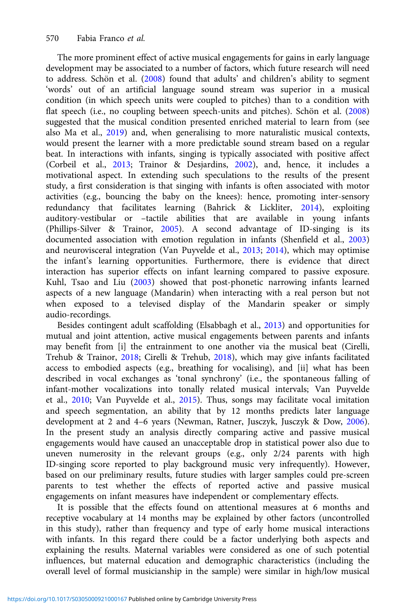The more prominent effect of active musical engagements for gains in early language development may be associated to a number of factors, which future research will need to address. Schön et al. ([2008](#page-24-0)) found that adults' and children's ability to segment 'words' out of an artificial language sound stream was superior in a musical condition (in which speech units were coupled to pitches) than to a condition with flat speech (i.e., no coupling between speech-units and pitches). Schön et al. [\(2008\)](#page-24-0) suggested that the musical condition presented enriched material to learn from (see also Ma et al., [2019\)](#page-23-0) and, when generalising to more naturalistic musical contexts, would present the learner with a more predictable sound stream based on a regular beat. In interactions with infants, singing is typically associated with positive affect (Corbeil et al., [2013](#page-21-0); Trainor & Desjardins, [2002](#page-25-0)), and, hence, it includes a motivational aspect. In extending such speculations to the results of the present study, a first consideration is that singing with infants is often associated with motor activities (e.g., bouncing the baby on the knees): hence, promoting inter-sensory redundancy that facilitates learning (Bahrick & Lickliter, [2014](#page-21-0)), exploiting auditory-vestibular or –tactile abilities that are available in young infants (Phillips-Silver & Trainor, [2005\)](#page-24-0). A second advantage of ID-singing is its documented association with emotion regulation in infants (Shenfield et al., [2003\)](#page-24-0) and neurovisceral integration (Van Puyvelde et al., [2013;](#page-25-0) [2014](#page-25-0)), which may optimise the infant's learning opportunities. Furthermore, there is evidence that direct interaction has superior effects on infant learning compared to passive exposure. Kuhl, Tsao and Liu ([2003](#page-23-0)) showed that post-phonetic narrowing infants learned aspects of a new language (Mandarin) when interacting with a real person but not when exposed to a televised display of the Mandarin speaker or simply audio-recordings.

Besides contingent adult scaffolding (Elsabbagh et al., [2013](#page-22-0)) and opportunities for mutual and joint attention, active musical engagements between parents and infants may benefit from [i] the entrainment to one another via the musical beat (Cirelli, Trehub & Trainor, [2018;](#page-21-0) Cirelli & Trehub, [2018](#page-21-0)), which may give infants facilitated access to embodied aspects (e.g., breathing for vocalising), and [ii] what has been described in vocal exchanges as 'tonal synchrony' (i.e., the spontaneous falling of infant-mother vocalizations into tonally related musical intervals; Van Puyvelde et al., [2010](#page-25-0); Van Puyvelde et al., [2015\)](#page-25-0). Thus, songs may facilitate vocal imitation and speech segmentation, an ability that by 12 months predicts later language development at 2 and 4–6 years (Newman, Ratner, Jusczyk, Jusczyk & Dow, [2006\)](#page-23-0). In the present study an analysis directly comparing active and passive musical engagements would have caused an unacceptable drop in statistical power also due to uneven numerosity in the relevant groups (e.g., only 2/24 parents with high ID-singing score reported to play background music very infrequently). However, based on our preliminary results, future studies with larger samples could pre-screen parents to test whether the effects of reported active and passive musical engagements on infant measures have independent or complementary effects.

It is possible that the effects found on attentional measures at 6 months and receptive vocabulary at 14 months may be explained by other factors (uncontrolled in this study), rather than frequency and type of early home musical interactions with infants. In this regard there could be a factor underlying both aspects and explaining the results. Maternal variables were considered as one of such potential influences, but maternal education and demographic characteristics (including the overall level of formal musicianship in the sample) were similar in high/low musical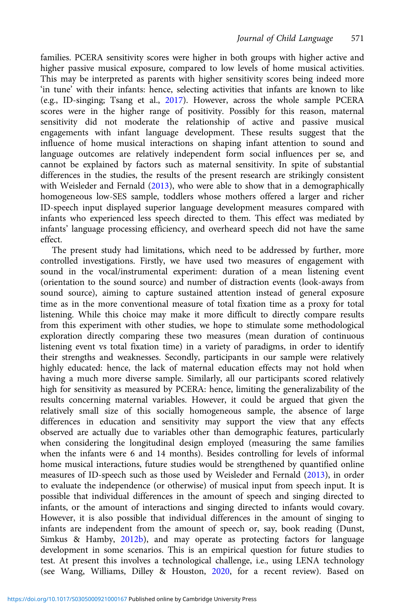families. PCERA sensitivity scores were higher in both groups with higher active and higher passive musical exposure, compared to low levels of home musical activities. This may be interpreted as parents with higher sensitivity scores being indeed more 'in tune' with their infants: hence, selecting activities that infants are known to like (e.g., ID-singing; Tsang et al., [2017](#page-25-0)). However, across the whole sample PCERA scores were in the higher range of positivity. Possibly for this reason, maternal sensitivity did not moderate the relationship of active and passive musical engagements with infant language development. These results suggest that the influence of home musical interactions on shaping infant attention to sound and language outcomes are relatively independent form social influences per se, and cannot be explained by factors such as maternal sensitivity. In spite of substantial differences in the studies, the results of the present research are strikingly consistent with Weisleder and Fernald ([2013\)](#page-25-0), who were able to show that in a demographically homogeneous low-SES sample, toddlers whose mothers offered a larger and richer ID-speech input displayed superior language development measures compared with infants who experienced less speech directed to them. This effect was mediated by infants' language processing efficiency, and overheard speech did not have the same effect.

The present study had limitations, which need to be addressed by further, more controlled investigations. Firstly, we have used two measures of engagement with sound in the vocal/instrumental experiment: duration of a mean listening event (orientation to the sound source) and number of distraction events (look-aways from sound source), aiming to capture sustained attention instead of general exposure time as in the more conventional measure of total fixation time as a proxy for total listening. While this choice may make it more difficult to directly compare results from this experiment with other studies, we hope to stimulate some methodological exploration directly comparing these two measures (mean duration of continuous listening event vs total fixation time) in a variety of paradigms, in order to identify their strengths and weaknesses. Secondly, participants in our sample were relatively highly educated: hence, the lack of maternal education effects may not hold when having a much more diverse sample. Similarly, all our participants scored relatively high for sensitivity as measured by PCERA: hence, limiting the generalizability of the results concerning maternal variables. However, it could be argued that given the relatively small size of this socially homogeneous sample, the absence of large differences in education and sensitivity may support the view that any effects observed are actually due to variables other than demographic features, particularly when considering the longitudinal design employed (measuring the same families when the infants were 6 and 14 months). Besides controlling for levels of informal home musical interactions, future studies would be strengthened by quantified online measures of ID-speech such as those used by Weisleder and Fernald ([2013](#page-25-0)), in order to evaluate the independence (or otherwise) of musical input from speech input. It is possible that individual differences in the amount of speech and singing directed to infants, or the amount of interactions and singing directed to infants would covary. However, it is also possible that individual differences in the amount of singing to infants are independent from the amount of speech or, say, book reading (Dunst, Simkus & Hamby, [2012b\)](#page-21-0), and may operate as protecting factors for language development in some scenarios. This is an empirical question for future studies to test. At present this involves a technological challenge, i.e., using LENA technology (see Wang, Williams, Dilley & Houston, [2020](#page-25-0), for a recent review). Based on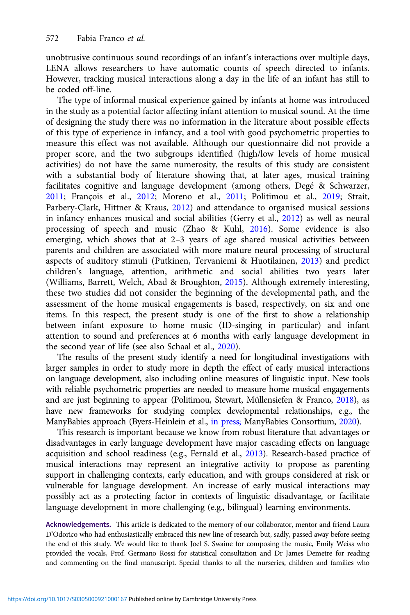unobtrusive continuous sound recordings of an infant's interactions over multiple days, LENA allows researchers to have automatic counts of speech directed to infants. However, tracking musical interactions along a day in the life of an infant has still to be coded off-line.

The type of informal musical experience gained by infants at home was introduced in the study as a potential factor affecting infant attention to musical sound. At the time of designing the study there was no information in the literature about possible effects of this type of experience in infancy, and a tool with good psychometric properties to measure this effect was not available. Although our questionnaire did not provide a proper score, and the two subgroups identified (high/low levels of home musical activities) do not have the same numerosity, the results of this study are consistent with a substantial body of literature showing that, at later ages, musical training facilitates cognitive and language development (among others, Degé & Schwarzer, [2011;](#page-21-0) François et al., [2012;](#page-22-0) Moreno et al., [2011](#page-23-0); Politimou et al., [2019](#page-24-0); Strait, Parbery-Clark, Hittner & Kraus, [2012\)](#page-24-0) and attendance to organised musical sessions in infancy enhances musical and social abilities (Gerry et al., [2012](#page-23-0)) as well as neural processing of speech and music (Zhao & Kuhl, [2016](#page-25-0)). Some evidence is also emerging, which shows that at 2–3 years of age shared musical activities between parents and children are associated with more mature neural processing of structural aspects of auditory stimuli (Putkinen, Tervaniemi & Huotilainen, [2013](#page-24-0)) and predict children's language, attention, arithmetic and social abilities two years later (Williams, Barrett, Welch, Abad & Broughton, [2015](#page-25-0)). Although extremely interesting, these two studies did not consider the beginning of the developmental path, and the assessment of the home musical engagements is based, respectively, on six and one items. In this respect, the present study is one of the first to show a relationship between infant exposure to home music (ID-singing in particular) and infant attention to sound and preferences at 6 months with early language development in the second year of life (see also Schaal et al., [2020](#page-24-0)).

The results of the present study identify a need for longitudinal investigations with larger samples in order to study more in depth the effect of early musical interactions on language development, also including online measures of linguistic input. New tools with reliable psychometric properties are needed to measure home musical engagements and are just beginning to appear (Politimou, Stewart, Müllensiefen & Franco, [2018\)](#page-24-0), as have new frameworks for studying complex developmental relationships, e.g., the ManyBabies approach (Byers-Heinlein et al., [in press;](#page-21-0) ManyBabies Consortium, [2020\)](#page-23-0).

This research is important because we know from robust literature that advantages or disadvantages in early language development have major cascading effects on language acquisition and school readiness (e.g., Fernald et al., [2013](#page-22-0)). Research-based practice of musical interactions may represent an integrative activity to propose as parenting support in challenging contexts, early education, and with groups considered at risk or vulnerable for language development. An increase of early musical interactions may possibly act as a protecting factor in contexts of linguistic disadvantage, or facilitate language development in more challenging (e.g., bilingual) learning environments.

Acknowledgements. This article is dedicated to the memory of our collaborator, mentor and friend Laura D'Odorico who had enthusiastically embraced this new line of research but, sadly, passed away before seeing the end of this study. We would like to thank Joel S. Swaine for composing the music, Emily Weiss who provided the vocals, Prof. Germano Rossi for statistical consultation and Dr James Demetre for reading and commenting on the final manuscript. Special thanks to all the nurseries, children and families who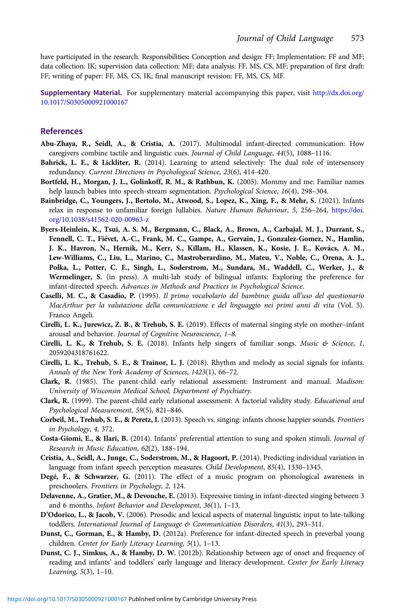<span id="page-21-0"></span>have participated in the research. Responsibilities: Conception and design: FF; Implementation: FF and MF; data collection: IK; supervision data collection: MF; data analysis: FF, MS, CS, MF; preparation of first draft: FF; writing of paper: FF, MS, CS, IK; final manuscript revision: FF, MS, CS, MF.

Supplementary Material. For supplementary material accompanying this paper, visit [http://dx.doi.org/](http://dx.doi.org/10.1017/S0305000921000167) [10.1017/S0305000921000167](http://dx.doi.org/10.1017/S0305000921000167)

#### References

- Abu-Zhaya, R., Seidl, A., & Cristia, A. (2017). Multimodal infant-directed communication: How caregivers combine tactile and linguistic cues. Journal of Child Language, 44(5), 1088–1116.
- Bahrick, L. E., & Lickliter, R. (2014). Learning to attend selectively: The dual role of intersensory redundancy. Current Directions in Psychological Science, 23(6), 414-420.
- Bortfeld, H., Morgan, J. L., Golinkoff, R. M., & Rathbun, K. (2005). Mommy and me: Familiar names help launch babies into speech-stream segmentation. Psychological Science, 16(4), 298–304.
- Bainbridge, C., Youngers, J., Bertolo, M., Atwood, S., Lopez, K., Xing, F., & Mehr, S. (2021). Infants relax in response to unfamiliar foreign lullabies. Nature Human Behaviour, 5, 256–264, [https://doi.](https://doi.org/10.1038/s41562-020-00963-z) [org/10.1038/s41562-020-00963-z](https://doi.org/10.1038/s41562-020-00963-z)
- Byers-Heinlein, K., Tsui, A. S. M., Bergmann, C., Black, A., Brown, A., Carbajal, M. J., Durrant, S., Fennell, C. T., Fiévet, A.-C., Frank, M. C., Gampe, A., Gervain, J., Gonzalez-Gomez, N., Hamlin, J. K., Havron, N., Hernik, M., Kerr, S., Killam, H., Klassen, K., Kosie, J. E., Kovács, A. M., Lew-Williams, C., Liu, L., Marino, C., Mastroberardino, M., Mateu, V., Noble, C., Orena, A. J., Polka, L., Potter, C. E., Singh, L., Soderstrom, M., Sundara, M., Waddell, C., Werker, J., & Wermelinger, S. (in press). A multi-lab study of bilingual infants: Exploring the preference for infant-directed speech. Advances in Methods and Practices in Psychological Science.
- Caselli, M. C., & Casadio, P. (1995). Il primo vocabolario del bambino: guida all'uso del questionario MacArthur per la valutazione della comunicazione e del linguaggio nei primi anni di vita (Vol. 5). Franco Angeli.
- Cirelli, L. K., Jurewicz, Z. B., & Trehub, S. E. (2019). Effects of maternal singing style on mother–infant arousal and behavior. Journal of Cognitive Neuroscience, 1–8.
- Cirelli, L. K., & Trehub, S. E. (2018). Infants help singers of familiar songs. Music & Science, 1, 2059204318761622.
- Cirelli, L. K., Trehub, S. E., & Trainor, L. J. (2018). Rhythm and melody as social signals for infants. Annals of the New York Academy of Sciences, 1423(1), 66–72.
- Clark, R. (1985). The parent-child early relational assessment: Instrument and manual. Madison: University of Wisconsin Medical School, Department of Psychiatry.
- Clark, R. (1999). The parent-child early relational assessment: A factorial validity study. Educational and Psychological Measurement, 59(5), 821–846.
- Corbeil, M., Trehub, S. E., & Peretz, I. (2013). Speech vs. singing: infants choose happier sounds. Frontiers in Psychology, 4, 372.
- Costa-Giomi, E., & Ilari, B. (2014). Infants' preferential attention to sung and spoken stimuli. Journal of Research in Music Education, 62(2), 188–194.
- Cristia, A., Seidl, A., Junge, C., Soderstrom, M., & Hagoort, P. (2014). Predicting individual variation in language from infant speech perception measures. Child Development, 85(4), 1330–1345.
- Degé, F., & Schwarzer, G. (2011). The effect of a music program on phonological awareness in preschoolers. Frontiers in Psychology, 2, 124.
- Delavenne, A., Gratier, M., & Devouche, E. (2013). Expressive timing in infant-directed singing between 3 and 6 months. Infant Behavior and Development, 36(1), 1–13.
- D'Odorico, L., & Jacob, V. (2006). Prosodic and lexical aspects of maternal linguistic input to late-talking toddlers. International Journal of Language & Communication Disorders, 41(3), 293–311.
- Dunst, C., Gorman, E., & Hamby, D. (2012a). Preference for infant-directed speech in preverbal young children. Center for Early Literacy Learning, 5(1), 1–13.
- Dunst, C. J., Simkus, A., & Hamby, D. W. (2012b). Relationship between age of onset and frequency of reading and infants' and toddlers' early language and literacy development. Center for Early Literacy Learning, 5(3), 1–10.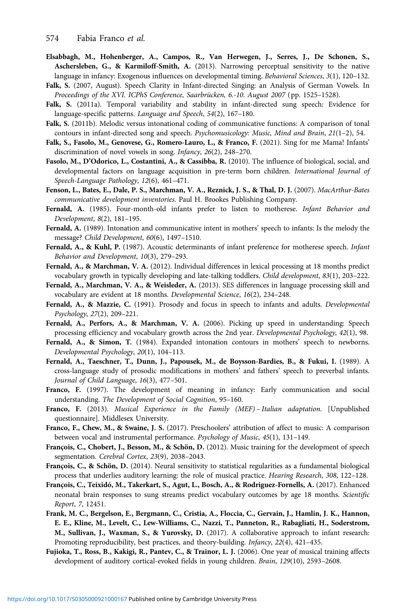- <span id="page-22-0"></span>Elsabbagh, M., Hohenberger, A., Campos, R., Van Herwegen, J., Serres, J., De Schonen, S., Aschersleben, G., & Karmiloff-Smith, A. (2013). Narrowing perceptual sensitivity to the native language in infancy: Exogenous influences on developmental timing. Behavioral Sciences, 3(1), 120–132.
- Falk, S. (2007, August). Speech Clarity in Infant-directed Singing: an Analysis of German Vowels. In Proceedings of the XVI. ICPhS Conference, Saarbrücken, 6.-10. August 2007 (pp. 1525–1528).
- Falk, S. (2011a). Temporal variability and stability in infant-directed sung speech: Evidence for language-specific patterns. Language and Speech, 54(2), 167–180.
- Falk, S. (2011b). Melodic versus intonational coding of communicative functions: A comparison of tonal contours in infant-directed song and speech. Psychomusicology: Music, Mind and Brain, 21(1–2), 54.
- Falk, S., Fasolo, M., Genovese, G., Romero-Lauro, L., & Franco, F. (2021). Sing for me Mama! Infants' discrimination of novel vowels in song. Infancy, 26(2), 248–270.
- Fasolo, M., D'Odorico, L., Costantini, A., & Cassibba, R. (2010). The influence of biological, social, and developmental factors on language acquisition in pre-term born children. International Journal of Speech-Language Pathology, 12(6), 461–471.
- Fenson, L., Bates, E., Dale, P. S., Marchman, V. A., Reznick, J. S., & Thal, D. J. (2007). MacArthur-Bates communicative development inventories. Paul H. Brookes Publishing Company.
- Fernald, A. (1985). Four-month-old infants prefer to listen to motherese. Infant Behavior and Development, 8(2), 181–195.
- Fernald, A. (1989). Intonation and communicative intent in mothers' speech to infants: Is the melody the message? Child Development, 60(6), 1497–1510.
- Fernald, A., & Kuhl, P. (1987). Acoustic determinants of infant preference for motherese speech. Infant Behavior and Development, 10(3), 279–293.
- Fernald, A., & Marchman, V. A. (2012). Individual differences in lexical processing at 18 months predict vocabulary growth in typically developing and late-talking toddlers. Child development, 83(1), 203–222.
- Fernald, A., Marchman, V. A., & Weisleder, A. (2013). SES differences in language processing skill and vocabulary are evident at 18 months. Developmental Science, 16(2), 234–248.
- Fernald, A., & Mazzie, C. (1991). Prosody and focus in speech to infants and adults. Developmental Psychology, 27(2), 209–221.
- Fernald, A., Perfors, A., & Marchman, V. A. (2006). Picking up speed in understanding: Speech processing efficiency and vocabulary growth across the 2nd year. Developmental Psychology, 42(1), 98.
- Fernald, A., & Simon, T. (1984). Expanded intonation contours in mothers' speech to newborns. Developmental Psychology, 20(1), 104–113.
- Fernald, A., Taeschner, T., Dunn, J., Papousek, M., de Boysson-Bardies, B., & Fukui, I. (1989). A cross-language study of prosodic modifications in mothers' and fathers' speech to preverbal infants. Journal of Child Language, 16(3), 477–501.
- Franco, F. (1997). The development of meaning in infancy: Early communication and social understanding. The Development of Social Cognition, 95–160.
- Franco, F. (2013). Musical Experience in the Family (MEF) Italian adaptation. [Unpublished questionnaire]. Middlesex University.
- Franco, F., Chew, M., & Swaine, J. S. (2017). Preschoolers' attribution of affect to music: A comparison between vocal and instrumental performance. Psychology of Music, 45(1), 131–149.
- François, C., Chobert, J., Besson, M., & Schön, D. (2012). Music training for the development of speech segmentation. Cerebral Cortex, 23(9), 2038–2043.
- François, C., & Schön, D. (2014). Neural sensitivity to statistical regularities as a fundamental biological process that underlies auditory learning: the role of musical practice. Hearing Research, 308, 122–128.
- François, C., Teixidó, M., Takerkart, S., Agut, L., Bosch, A., & Rodriguez-Fornells, A. (2017). Enhanced neonatal brain responses to sung streams predict vocabulary outcomes by age 18 months. Scientific Report, 7, 12451.
- Frank, M. C., Bergelson, E., Bergmann, C., Cristia, A., Floccia, C., Gervain, J., Hamlin, J. K., Hannon, E. E., Kline, M., Levelt, C., Lew-Williams, C., Nazzi, T., Panneton, R., Rabagliati, H., Soderstrom, M., Sullivan, J., Waxman, S., & Yurovsky, D. (2017). A collaborative approach to infant research: Promoting reproducibility, best practices, and theory-building. Infancy, 22(4), 421–435.
- Fujioka, T., Ross, B., Kakigi, R., Pantev, C., & Trainor, L. J. (2006). One year of musical training affects development of auditory cortical-evoked fields in young children. Brain, 129(10), 2593–2608.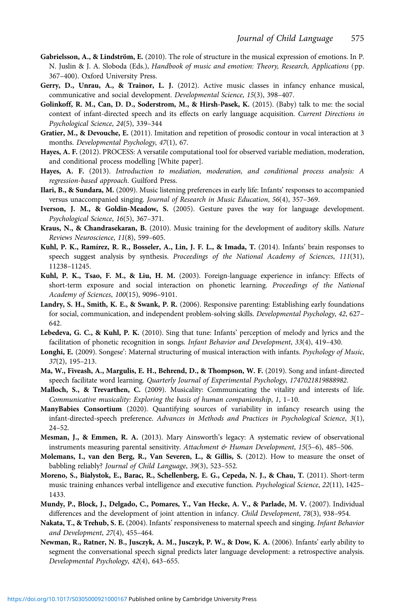- <span id="page-23-0"></span>Gabrielsson, A., & Lindström, E. (2010). The role of structure in the musical expression of emotions. In P. N. Juslin & J. A. Sloboda (Eds.), Handbook of music and emotion: Theory, Research, Applications (pp. 367–400). Oxford University Press.
- Gerry, D., Unrau, A., & Trainor, L. J. (2012). Active music classes in infancy enhance musical, communicative and social development. Developmental Science, 15(3), 398–407.
- Golinkoff, R. M., Can, D. D., Soderstrom, M., & Hirsh-Pasek, K. (2015). (Baby) talk to me: the social context of infant-directed speech and its effects on early language acquisition. Current Directions in Psychological Science, 24(5), 339–344
- Gratier, M., & Devouche, E. (2011). Imitation and repetition of prosodic contour in vocal interaction at 3 months. Developmental Psychology, 47(1), 67.
- Hayes, A. F. (2012). PROCESS: A versatile computational tool for observed variable mediation, moderation, and conditional process modelling [White paper].
- Hayes, A. F. (2013). Introduction to mediation, moderation, and conditional process analysis: A regression-based approach. Guilford Press.
- Ilari, B., & Sundara, M. (2009). Music listening preferences in early life: Infants' responses to accompanied versus unaccompanied singing. Journal of Research in Music Education, 56(4), 357–369.
- Iverson, J. M., & Goldin-Meadow, S. (2005). Gesture paves the way for language development. Psychological Science, 16(5), 367–371.
- Kraus, N., & Chandrasekaran, B. (2010). Music training for the development of auditory skills. Nature Reviews Neuroscience, 11(8), 599–605.
- Kuhl, P. K., Ramírez, R. R., Bosseler, A., Lin, J. F. L., & Imada, T. (2014). Infants' brain responses to speech suggest analysis by synthesis. Proceedings of the National Academy of Sciences, 111(31), 11238–11245.
- Kuhl, P. K., Tsao, F. M., & Liu, H. M. (2003). Foreign-language experience in infancy: Effects of short-term exposure and social interaction on phonetic learning. Proceedings of the National Academy of Sciences, 100(15), 9096–9101.
- Landry, S. H., Smith, K. E., & Swank, P. R. (2006). Responsive parenting: Establishing early foundations for social, communication, and independent problem-solving skills. Developmental Psychology, 42, 627– 642.
- Lebedeva, G. C., & Kuhl, P. K. (2010). Sing that tune: Infants' perception of melody and lyrics and the facilitation of phonetic recognition in songs. Infant Behavior and Development, 33(4), 419–430.
- Longhi, E. (2009). Songese': Maternal structuring of musical interaction with infants. Psychology of Music, 37(2), 195–213.
- Ma, W., Fiveash, A., Margulis, E. H., Behrend, D., & Thompson, W. F. (2019). Song and infant-directed speech facilitate word learning. Quarterly Journal of Experimental Psychology, 1747021819888982.
- Malloch, S., & Trevarthen, C. (2009). Musicality: Communicating the vitality and interests of life. Communicative musicality: Exploring the basis of human companionship, 1, 1–10.
- ManyBabies Consortium (2020). Quantifying sources of variability in infancy research using the infant-directed-speech preference. Advances in Methods and Practices in Psychological Science, 3(1), 24–52.
- Mesman, J., & Emmen, R. A. (2013). Mary Ainsworth's legacy: A systematic review of observational instruments measuring parental sensitivity. Attachment & Human Development, 15(5-6), 485-506.
- Molemans, I., van den Berg, R., Van Severen, L., & Gillis, S. (2012). How to measure the onset of babbling reliably? Journal of Child Language, 39(3), 523–552.
- Moreno, S., Bialystok, E., Barac, R., Schellenberg, E. G., Cepeda, N. J., & Chau, T. (2011). Short-term music training enhances verbal intelligence and executive function. Psychological Science, 22(11), 1425– 1433.
- Mundy, P., Block, J., Delgado, C., Pomares, Y., Van Hecke, A. V., & Parlade, M. V. (2007). Individual differences and the development of joint attention in infancy. Child Development, 78(3), 938–954.
- Nakata, T., & Trehub, S. E. (2004). Infants' responsiveness to maternal speech and singing. Infant Behavior and Development, 27(4), 455–464.
- Newman, R., Ratner, N. B., Jusczyk, A. M., Jusczyk, P. W., & Dow, K. A. (2006). Infants' early ability to segment the conversational speech signal predicts later language development: a retrospective analysis. Developmental Psychology, 42(4), 643–655.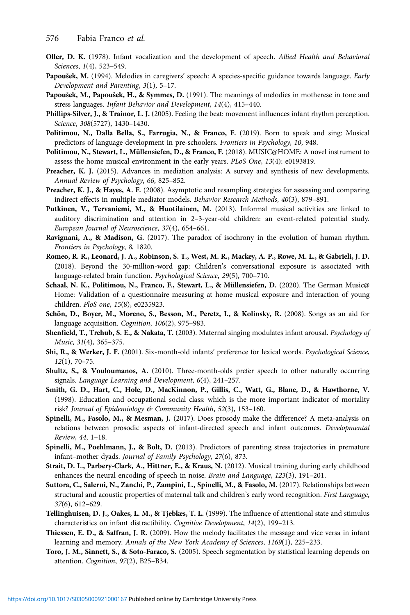- <span id="page-24-0"></span>Oller, D. K. (1978). Infant vocalization and the development of speech. Allied Health and Behavioral Sciences, 1(4), 523–549.
- Papoušek, M. (1994). Melodies in caregivers' speech: A species-specific guidance towards language. Early Development and Parenting, 3(1), 5–17.
- Papoušek, M., Papoušek, H., & Symmes, D. (1991). The meanings of melodies in motherese in tone and stress languages. Infant Behavior and Development, 14(4), 415–440.
- Phillips-Silver, J., & Trainor, L. J. (2005). Feeling the beat: movement influences infant rhythm perception. Science, 308(5727), 1430–1430.
- Politimou, N., Dalla Bella, S., Farrugia, N., & Franco, F. (2019). Born to speak and sing: Musical predictors of language development in pre-schoolers. Frontiers in Psychology, 10, 948.
- Politimou, N., Stewart, L., Müllensiefen, D., & Franco, F. (2018). MUSIC@HOME: A novel instrument to assess the home musical environment in the early years. PLoS One, 13(4): e0193819.
- Preacher, K. J. (2015). Advances in mediation analysis: A survey and synthesis of new developments. Annual Review of Psychology, 66, 825–852.
- Preacher, K. J., & Hayes, A. F. (2008). Asymptotic and resampling strategies for assessing and comparing indirect effects in multiple mediator models. Behavior Research Methods, 40(3), 879–891.
- Putkinen, V., Tervaniemi, M., & Huotilainen, M. (2013). Informal musical activities are linked to auditory discrimination and attention in 2–3-year-old children: an event-related potential study. European Journal of Neuroscience, 37(4), 654–661.
- Ravignani, A., & Madison, G. (2017). The paradox of isochrony in the evolution of human rhythm. Frontiers in Psychology, 8, 1820.
- Romeo, R. R., Leonard, J. A., Robinson, S. T., West, M. R., Mackey, A. P., Rowe, M. L., & Gabrieli, J. D. (2018). Beyond the 30-million-word gap: Children's conversational exposure is associated with language-related brain function. Psychological Science, 29(5), 700–710.
- Schaal, N. K., Politimou, N., Franco, F., Stewart, L., & Müllensiefen, D. (2020). The German Music@ Home: Validation of a questionnaire measuring at home musical exposure and interaction of young children. PloS one, 15(8), e0235923.
- Schön, D., Boyer, M., Moreno, S., Besson, M., Peretz, I., & Kolinsky, R. (2008). Songs as an aid for language acquisition. Cognition, 106(2), 975-983.
- Shenfield, T., Trehub, S. E., & Nakata, T. (2003). Maternal singing modulates infant arousal. Psychology of Music, 31(4), 365–375.
- Shi, R., & Werker, J. F. (2001). Six-month-old infants' preference for lexical words. Psychological Science, 12(1), 70–75.
- Shultz, S., & Vouloumanos, A. (2010). Three-month-olds prefer speech to other naturally occurring signals. Language Learning and Development, 6(4), 241–257.
- Smith, G. D., Hart, C., Hole, D., MacKinnon, P., Gillis, C., Watt, G., Blane, D., & Hawthorne, V. (1998). Education and occupational social class: which is the more important indicator of mortality risk? Journal of Epidemiology & Community Health, 52(3), 153–160.
- Spinelli, M., Fasolo, M., & Mesman, J. (2017). Does prosody make the difference? A meta-analysis on relations between prosodic aspects of infant-directed speech and infant outcomes. Developmental Review, 44, 1–18.
- Spinelli, M., Poehlmann, J., & Bolt, D. (2013). Predictors of parenting stress trajectories in premature infant–mother dyads. Journal of Family Psychology, 27(6), 873.
- Strait, D. L., Parbery-Clark, A., Hittner, E., & Kraus, N. (2012). Musical training during early childhood enhances the neural encoding of speech in noise. Brain and Language, 123(3), 191–201.
- Suttora, C., Salerni, N., Zanchi, P., Zampini, L., Spinelli, M., & Fasolo, M. (2017). Relationships between structural and acoustic properties of maternal talk and children's early word recognition. First Language, 37(6), 612–629.
- Tellinghuisen, D. J., Oakes, L. M., & Tjebkes, T. L. (1999). The influence of attentional state and stimulus characteristics on infant distractibility. Cognitive Development, 14(2), 199–213.
- Thiessen, E. D., & Saffran, J. R. (2009). How the melody facilitates the message and vice versa in infant learning and memory. Annals of the New York Academy of Sciences, 1169(1), 225–233.
- Toro, J. M., Sinnett, S., & Soto-Faraco, S. (2005). Speech segmentation by statistical learning depends on attention. Cognition, 97(2), B25–B34.